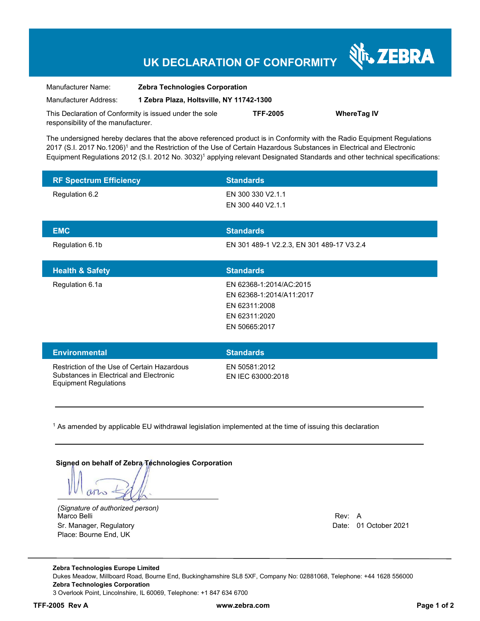## **UK DECLARATION OF CONFORMITY**

| Manufacturer Name:                                      | <b>Zebra Technologies Corporation</b><br>1 Zebra Plaza, Holtsville, NY 11742-1300 |                 |                    |
|---------------------------------------------------------|-----------------------------------------------------------------------------------|-----------------|--------------------|
| Manufacturer Address:                                   |                                                                                   |                 |                    |
| This Declaration of Conformity is issued under the sole |                                                                                   | <b>TFF-2005</b> | <b>WhereTag IV</b> |
| responsibility of the manufacturer.                     |                                                                                   |                 |                    |

The undersigned hereby declares that the above referenced product is in Conformity with the Radio Equipment Regulations 2017 (S.I. 2017 No.1206)1 and the Restriction of the Use of Certain Hazardous Substances in Electrical and Electronic Equipment Regulations 2012 (S.I. 2012 No. 3032)1 applying relevant Designated Standards and other technical specifications:

| <b>RF Spectrum Efficiency</b>                                                                                          | <b>Standards</b>                                                                                       |
|------------------------------------------------------------------------------------------------------------------------|--------------------------------------------------------------------------------------------------------|
| Regulation 6.2                                                                                                         | EN 300 330 V2.1.1<br>EN 300 440 V2.1.1                                                                 |
| <b>EMC</b>                                                                                                             | <b>Standards</b>                                                                                       |
| Regulation 6.1b                                                                                                        | EN 301 489-1 V2.2.3, EN 301 489-17 V3.2.4                                                              |
| <b>Health &amp; Safety</b>                                                                                             | <b>Standards</b>                                                                                       |
| Regulation 6.1a                                                                                                        | EN 62368-1:2014/AC:2015<br>EN 62368-1:2014/A11:2017<br>EN 62311:2008<br>EN 62311:2020<br>EN 50665:2017 |
| <b>Environmental</b>                                                                                                   | <b>Standards</b>                                                                                       |
| Restriction of the Use of Certain Hazardous<br>Substances in Electrical and Electronic<br><b>Equipment Regulations</b> | EN 50581:2012<br>EN IEC 63000:2018                                                                     |

<sup>1</sup> As amended by applicable EU withdrawal legislation implemented at the time of issuing this declaration

**Signed on behalf of Zebra Technologies Corporation**

 $M\sim$ 

*(Signature of authorized person)* Marco Belli Rev: A Albert Rev: A Albert Rev: A Albert Rev: A Albert Rev: A Albert Rev: A Albert Rev: A Albert R Sr. Manager, Regulatory Date: 01 October 2021 Place: Bourne End, UK

**Nr. ZEBRA**